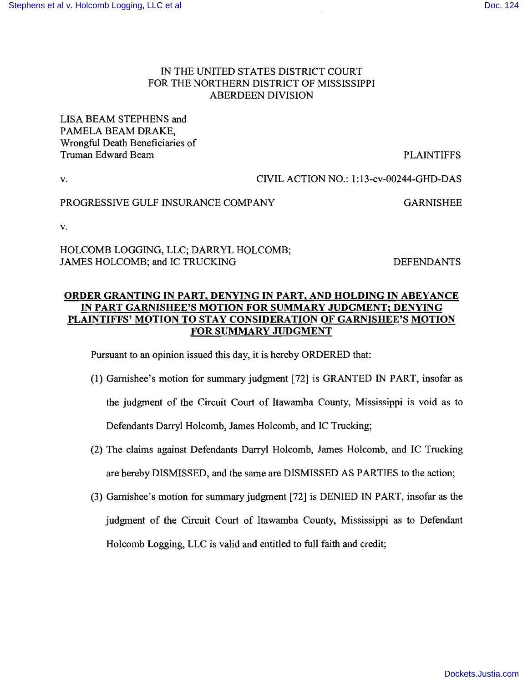## IN THE UNITED STATES DISTRICT COURT FOR THE NORTHERN DISTRICT OF MISSISSIPPI ABERDEEN DIVISION

LISA BEAM STEPHENS and PAMELA BEAM DRAKE, Wrongful Death Beneficiaries of Truman Edward Beam PLAINTIFFS

v. CIVIL ACTION NO.: 1:13-cv-00244-GHD-DAS

## PROGRESSIVE GULF INSURANCE COMPANY GARNISHEE

v.

HOLCOMB LOGGING, LLC; DARRYL HOLCOMB; JAMES HOLCOMB; and IC TRUCKING DEFENDANTS

## ORDER GRANTING IN PART, DENYING IN PART, AND HOLDING IN ABEYANCE IN PART GARNISHEE'S MOTION FOR SUMMARY JUDGMENT; DENYING PLAINTIFFS' MOTION TO STAY CONSIDERATION OF GARNISHEE'S MOTION FOR SUMMARY JUDGMENT

Pursuant to an opinion issued this day, it is hereby ORDERED that:

- (1) Garnishee's motion for summary judgment [72] is GRANTED IN PART, insofar as the judgment of the Circuit Court of Itawamba County, Mississippi is void as to Defendants Darryl Holcomb, James Holcomb, and IC Trucking;
- (2) The claims against Defendants Darryl Holcomb, James Holcomb, and IC Trucking are hereby DISMISSED, and the same are DISMISSED AS PARTIES to the action;
- (3) Garnishee's motion for summary judgment [72] is DENIED IN PART, insofar as the judgment of the Circuit Court of Itawamba County, Mississippi as to Defendant Holcomb Logging, LLC is valid and entitled to full faith and credit;